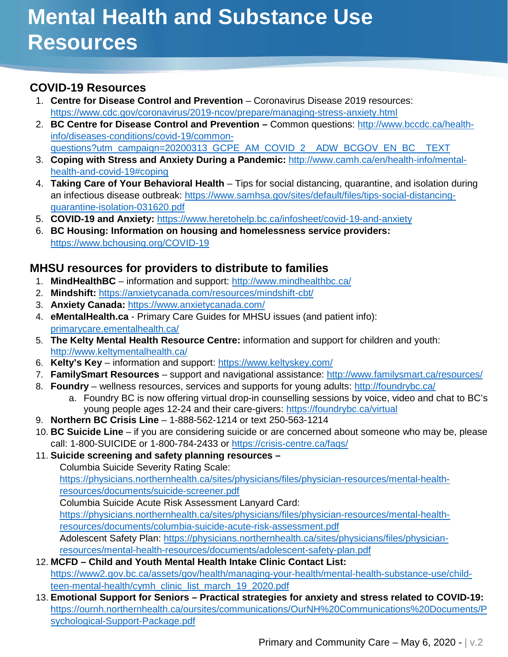# **COVID-19 Resources**

- 1. **Centre for Disease Control and Prevention** Coronavirus Disease 2019 resources: <https://www.cdc.gov/coronavirus/2019-ncov/prepare/managing-stress-anxiety.html>
- 2. **BC Centre for Disease Control and Prevention –** Common questions: [http://www.bccdc.ca/health](http://www.bccdc.ca/health-info/diseases-conditions/covid-19/common-questions?utm_campaign=20200313_GCPE_AM_COVID_2__ADW_BCGOV_EN_BC__TEXT)[info/diseases-conditions/covid-19/common](http://www.bccdc.ca/health-info/diseases-conditions/covid-19/common-questions?utm_campaign=20200313_GCPE_AM_COVID_2__ADW_BCGOV_EN_BC__TEXT)[questions?utm\\_campaign=20200313\\_GCPE\\_AM\\_COVID\\_2\\_\\_ADW\\_BCGOV\\_EN\\_BC\\_\\_TEXT](http://www.bccdc.ca/health-info/diseases-conditions/covid-19/common-questions?utm_campaign=20200313_GCPE_AM_COVID_2__ADW_BCGOV_EN_BC__TEXT)

3. **Coping with Stress and Anxiety During a Pandemic:** [http://www.camh.ca/en/health-info/mental-](http://www.camh.ca/en/health-info/mental-health-and-covid-19#coping)

- [health-and-covid-19#coping](http://www.camh.ca/en/health-info/mental-health-and-covid-19#coping) 4. **Taking Care of Your Behavioral Health** – Tips for social distancing, quarantine, and isolation during an infectious disease outbreak: [https://www.samhsa.gov/sites/default/files/tips-social-distancing](https://www.samhsa.gov/sites/default/files/tips-social-distancing-quarantine-isolation-031620.pdf)[quarantine-isolation-031620.pdf](https://www.samhsa.gov/sites/default/files/tips-social-distancing-quarantine-isolation-031620.pdf)
- 5. **COVID-19 and Anxiety:** <https://www.heretohelp.bc.ca/infosheet/covid-19-and-anxiety>
- 6. **BC Housing: Information on housing and homelessness service providers:**  <https://www.bchousing.org/COVID-19>

### **MHSU resources for providers to distribute to families**

- 1. **MindHealthBC**  information and support:<http://www.mindhealthbc.ca/>
- 2. **Mindshift:** <https://anxietycanada.com/resources/mindshift-cbt/>
- 3. **Anxiety Canada:** <https://www.anxietycanada.com/>
- 4. **eMentalHealth.ca** Primary Care Guides for MHSU issues (and patient info): [primarycare.ementalhealth.ca/](https://www.ementalhealth.ca/)
- 5. **The Kelty Mental Health Resource Centre:** information and support for children and youth: <http://www.keltymentalhealth.ca/>
- 6. **Kelty's Key** information and support:<https://www.keltyskey.com/>
- 7. **FamilySmart Resources** support and navigational assistance:<http://www.familysmart.ca/resources/>
- 8. **Foundry** wellness resources, services and supports for young adults:<http://foundrybc.ca/>
	- a. Foundry BC is now offering virtual drop-in counselling sessions by voice, video and chat to BC's young people ages 12-24 and their care-givers:<https://foundrybc.ca/virtual>
- 9. **Northern BC Crisis Line** 1-888-562-1214 or text 250-563-1214
- 10. **BC Suicide Line** if you are considering suicide or are concerned about someone who may be, please call: 1-800-SUICIDE or 1-800-784-2433 or<https://crisis-centre.ca/faqs/>
- 11. **Suicide screening and safety planning resources –**
	- Columbia Suicide Severity Rating Scale:

[https://physicians.northernhealth.ca/sites/physicians/files/physician-resources/mental-health](https://physicians.northernhealth.ca/sites/physicians/files/physician-resources/mental-health-resources/documents/suicide-screener.pdf)[resources/documents/suicide-screener.pdf](https://physicians.northernhealth.ca/sites/physicians/files/physician-resources/mental-health-resources/documents/suicide-screener.pdf)

Columbia Suicide Acute Risk Assessment Lanyard Card:

[https://physicians.northernhealth.ca/sites/physicians/files/physician-resources/mental-health](https://physicians.northernhealth.ca/sites/physicians/files/physician-resources/mental-health-resources/documents/columbia-suicide-acute-risk-assessment.pdf)[resources/documents/columbia-suicide-acute-risk-assessment.pdf](https://physicians.northernhealth.ca/sites/physicians/files/physician-resources/mental-health-resources/documents/columbia-suicide-acute-risk-assessment.pdf)

Adolescent Safety Plan: [https://physicians.northernhealth.ca/sites/physicians/files/physician](https://physicians.northernhealth.ca/sites/physicians/files/physician-resources/mental-health-resources/documents/adolescent-safety-plan.pdf)[resources/mental-health-resources/documents/adolescent-safety-plan.pdf](https://physicians.northernhealth.ca/sites/physicians/files/physician-resources/mental-health-resources/documents/adolescent-safety-plan.pdf)

- 12. **MCFD – Child and Youth Mental Health Intake Clinic Contact List:** [https://www2.gov.bc.ca/assets/gov/health/managing-your-health/mental-health-substance-use/child](https://www2.gov.bc.ca/assets/gov/health/managing-your-health/mental-health-substance-use/child-teen-mental-health/cymh_clinic_list_march_19_2020.pdf)[teen-mental-health/cymh\\_clinic\\_list\\_march\\_19\\_2020.pdf](https://www2.gov.bc.ca/assets/gov/health/managing-your-health/mental-health-substance-use/child-teen-mental-health/cymh_clinic_list_march_19_2020.pdf)
- 13. **Emotional Support for Seniors – Practical strategies for anxiety and stress related to COVID-19:** [https://ournh.northernhealth.ca/oursites/communications/OurNH%20Communications%20Documents/P](https://ournh.northernhealth.ca/oursites/communications/OurNH%20Communications%20Documents/Psychological-Support-Package.pdf) [sychological-Support-Package.pdf](https://ournh.northernhealth.ca/oursites/communications/OurNH%20Communications%20Documents/Psychological-Support-Package.pdf)